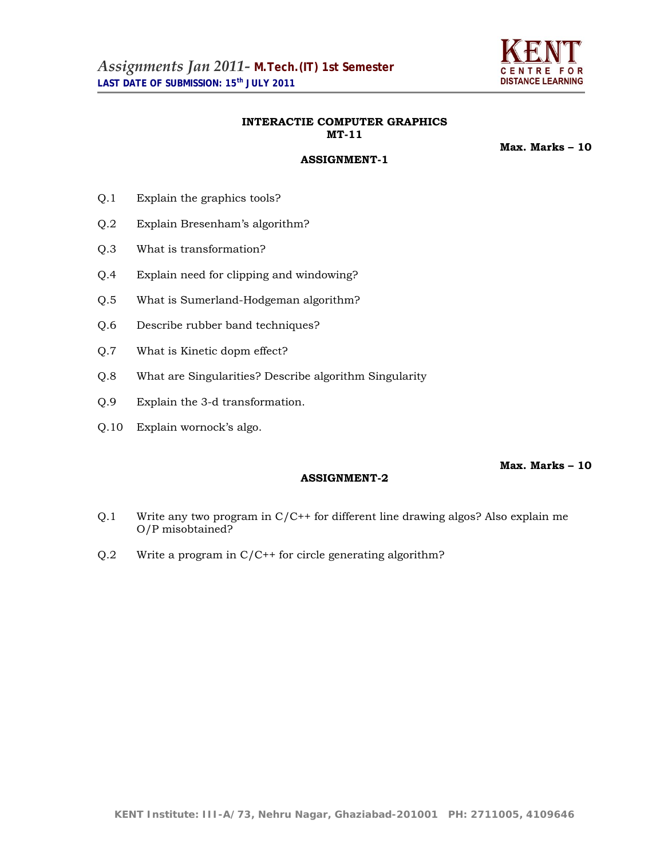

# **INTERACTIE COMPUTER GRAPHICS MT-11**

**ASSIGNMENT-1**

**Max. Marks – 10** 

- Q.1 Explain the graphics tools?
- Q.2 Explain Bresenham's algorithm?
- Q.3 What is transformation?
- Q.4 Explain need for clipping and windowing?
- Q.5 What is Sumerland-Hodgeman algorithm?
- Q.6 Describe rubber band techniques?
- Q.7 What is Kinetic dopm effect?
- Q.8 What are Singularities? Describe algorithm Singularity
- Q.9 Explain the 3-d transformation.
- Q.10 Explain wornock's algo.

## **Max. Marks – 10**

- Q.1 Write any two program in C/C++ for different line drawing algos? Also explain me O/P misobtained?
- Q.2 Write a program in C/C++ for circle generating algorithm?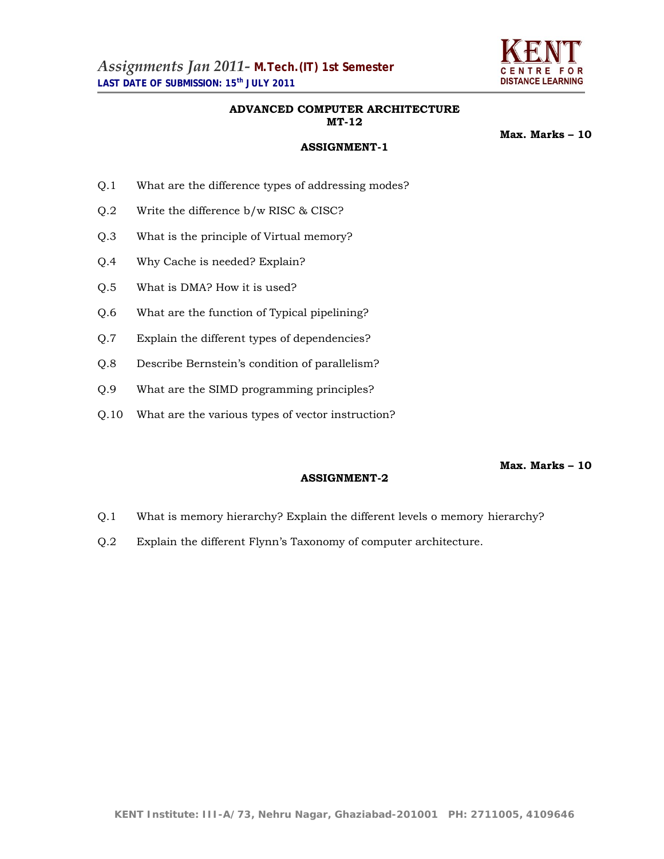

### **ADVANCED COMPUTER ARCHITECTURE MT-12**

**Max. Marks – 10** 

# **ASSIGNMENT-1**

- Q.1 What are the difference types of addressing modes?
- Q.2 Write the difference b/w RISC & CISC?
- Q.3 What is the principle of Virtual memory?
- Q.4 Why Cache is needed? Explain?
- Q.5 What is DMA? How it is used?
- Q.6 What are the function of Typical pipelining?
- Q.7 Explain the different types of dependencies?
- Q.8 Describe Bernstein's condition of parallelism?
- Q.9 What are the SIMD programming principles?
- Q.10 What are the various types of vector instruction?

**Max. Marks – 10** 

- Q.1 What is memory hierarchy? Explain the different levels o memory hierarchy?
- Q.2 Explain the different Flynn's Taxonomy of computer architecture.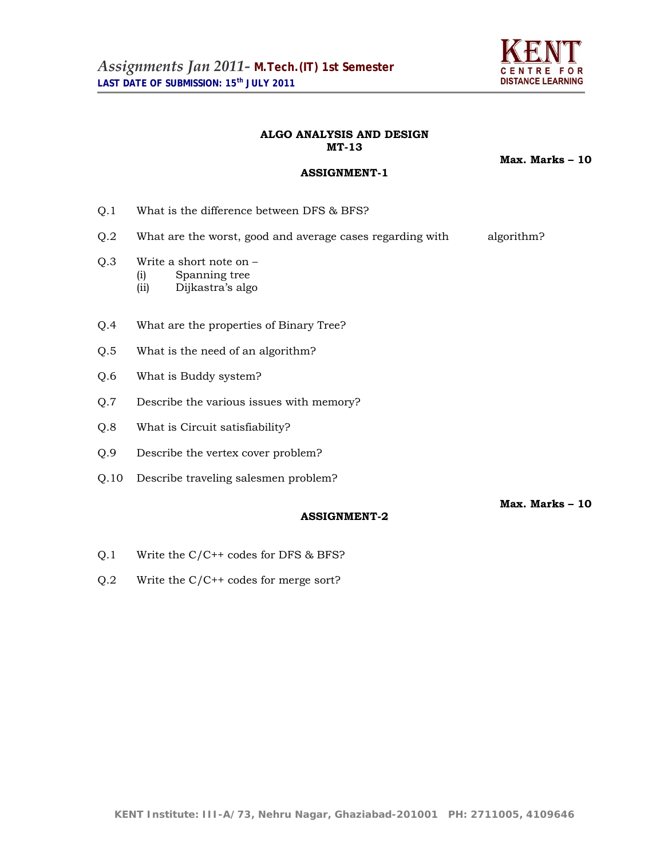

## **ALGO ANALYSIS AND DESIGN MT-13**

**ASSIGNMENT-1**

**Max. Marks – 10** 

**Max. Marks – 10** 

- Q.1 What is the difference between DFS & BFS?
- Q.2 What are the worst, good and average cases regarding with algorithm?
- Q.3 Write a short note on
	- (i) Spanning tree
		- (ii) Dijkastra's algo
- Q.4 What are the properties of Binary Tree?
- Q.5 What is the need of an algorithm?
- Q.6 What is Buddy system?
- Q.7 Describe the various issues with memory?
- Q.8 What is Circuit satisfiability?
- Q.9 Describe the vertex cover problem?
- Q.10 Describe traveling salesmen problem?

- Q.1 Write the C/C++ codes for DFS & BFS?
- Q.2 Write the C/C++ codes for merge sort?